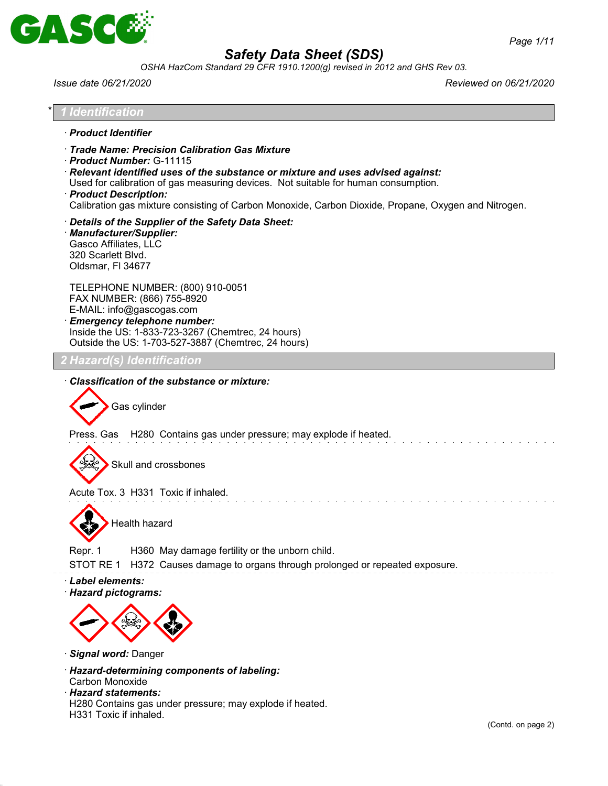

*OSHA HazCom Standard 29 CFR 1910.1200(g) revised in 2012 and GHS Rev 03.*

| Issue date 06/21/2020                                                                                                                                                                                                                                                                                                                                                                      | Reviewed on 06/21/2020 |
|--------------------------------------------------------------------------------------------------------------------------------------------------------------------------------------------------------------------------------------------------------------------------------------------------------------------------------------------------------------------------------------------|------------------------|
| 1 Identification                                                                                                                                                                                                                                                                                                                                                                           |                        |
| · Product Identifier                                                                                                                                                                                                                                                                                                                                                                       |                        |
| Trade Name: Precision Calibration Gas Mixture<br>Product Number: G-11115<br>$\cdot$ Relevant identified uses of the substance or mixture and uses advised against:<br>Used for calibration of gas measuring devices. Not suitable for human consumption.<br>· Product Description:<br>Calibration gas mixture consisting of Carbon Monoxide, Carbon Dioxide, Propane, Oxygen and Nitrogen. |                        |
| Details of the Supplier of the Safety Data Sheet:<br>· Manufacturer/Supplier:<br>Gasco Affiliates, LLC<br>320 Scarlett Blvd.<br>Oldsmar, FI 34677                                                                                                                                                                                                                                          |                        |
| TELEPHONE NUMBER: (800) 910-0051<br>FAX NUMBER: (866) 755-8920<br>E-MAIL: info@gascogas.com<br>· Emergency telephone number:<br>Inside the US: 1-833-723-3267 (Chemtrec, 24 hours)<br>Outside the US: 1-703-527-3887 (Chemtrec, 24 hours)                                                                                                                                                  |                        |
| <u>? Hazard(s) Identification</u>                                                                                                                                                                                                                                                                                                                                                          |                        |
| Classification of the substance or mixture:<br>Gas cylinder<br>Press. Gas H280 Contains gas under pressure; may explode if heated.<br>Skull and crossbones                                                                                                                                                                                                                                 |                        |
| Acute Tox. 3 H331 Toxic if inhaled.                                                                                                                                                                                                                                                                                                                                                        |                        |
| Health hazard                                                                                                                                                                                                                                                                                                                                                                              |                        |
| Repr. 1<br>H360 May damage fertility or the unborn child.<br>STOT RE 1<br>H372 Causes damage to organs through prolonged or repeated exposure.                                                                                                                                                                                                                                             |                        |
| · Label elements:<br>· Hazard pictograms:                                                                                                                                                                                                                                                                                                                                                  |                        |
|                                                                                                                                                                                                                                                                                                                                                                                            |                        |

- · *Signal word:* Danger
- · *Hazard-determining components of labeling:* Carbon Monoxide
- · *Hazard statements:*

H280 Contains gas under pressure; may explode if heated. H331 Toxic if inhaled.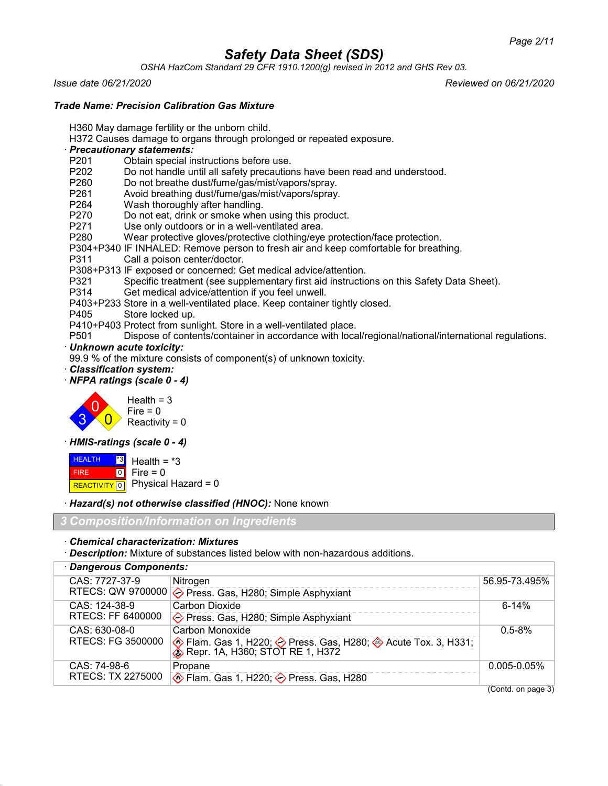*OSHA HazCom Standard 29 CFR 1910.1200(g) revised in 2012 and GHS Rev 03.*

*Issue date 06/21/2020 Reviewed on 06/21/2020*

#### *Trade Name: Precision Calibration Gas Mixture*

H360 May damage fertility or the unborn child.

- H372 Causes damage to organs through prolonged or repeated exposure.
- · *Precautionary statements:*
- P201 Obtain special instructions before use.<br>P202 Do not handle until all safety precaution
- P202 Do not handle until all safety precautions have been read and understood.<br>P260 Do not breathe dust/fume/gas/mist/vapors/sprav.
- Do not breathe dust/fume/gas/mist/vapors/spray.
- P261 Avoid breathing dust/fume/gas/mist/vapors/spray.
- P264 Wash thoroughly after handling.<br>P270 Do not eat, drink or smoke where
- P270 Do not eat, drink or smoke when using this product.<br>P271 Use only outdoors or in a well-ventilated area.
- Use only outdoors or in a well-ventilated area.
- P280 Wear protective gloves/protective clothing/eye protection/face protection.
- P304+P340 IF INHALED: Remove person to fresh air and keep comfortable for breathing.
- P311 Call a poison center/doctor.
- P308+P313 IF exposed or concerned: Get medical advice/attention.
- P321 Specific treatment (see supplementary first aid instructions on this Safety Data Sheet).
- Get medical advice/attention if you feel unwell.
- P403+P233 Store in a well-ventilated place. Keep container tightly closed.
- P405 Store locked up.
- P410+P403 Protect from sunlight. Store in a well-ventilated place.
- P501 Dispose of contents/container in accordance with local/regional/national/international regulations.
- · *Unknown acute toxicity:*
- 99.9 % of the mixture consists of component(s) of unknown toxicity.
- · *Classification system:*
- · *NFPA ratings (scale 0 4)*



#### · *HMIS-ratings (scale 0 - 4)*

**HEALTH**  FIRE REACTIVITY 0 \*3  $\boxed{0}$ Health  $=$   $*3$  $Fire = 0$ Physical Hazard = 0

· *Hazard(s) not otherwise classified (HNOC):* None known

*3 Composition/Information on Ingredients*

#### · *Chemical characterization: Mixtures*

· *Description:* Mixture of substances listed below with non-hazardous additions.

| · Dangerous Components: |                                                                                                          |                  |
|-------------------------|----------------------------------------------------------------------------------------------------------|------------------|
| CAS: 7727-37-9          | Nitrogen                                                                                                 | 56.95-73.495%    |
|                         | RTECS: QW 9700000 $\diamondsuit$ Press. Gas, H280; Simple Asphyxiant                                     |                  |
| CAS: 124-38-9           | Carbon Dioxide                                                                                           | $6 - 14%$        |
| RTECS: FF 6400000       | ♦ Press. Gas, H280; Simple Asphyxiant                                                                    |                  |
| CAS: 630-08-0           | Carbon Monoxide                                                                                          | $0.5 - 8\%$      |
| RTECS: FG 3500000       | ◈ Flam. Gas 1, H220; ◇ Press. Gas, H280; ◈ Acute Tox. 3, H331;<br>◈ Repr. 1A, H360; STOT RE 1, H372      |                  |
| CAS: 74-98-6            | Propane                                                                                                  | $0.005 - 0.05\%$ |
| RTECS: TX 2275000       | $\textcircled{\text{\sf\text{F}}}$ Flam. Gas 1, H220; $\textcircled{\textsf{\text{F}}}$ Press. Gas, H280 |                  |

(Contd. on page 3)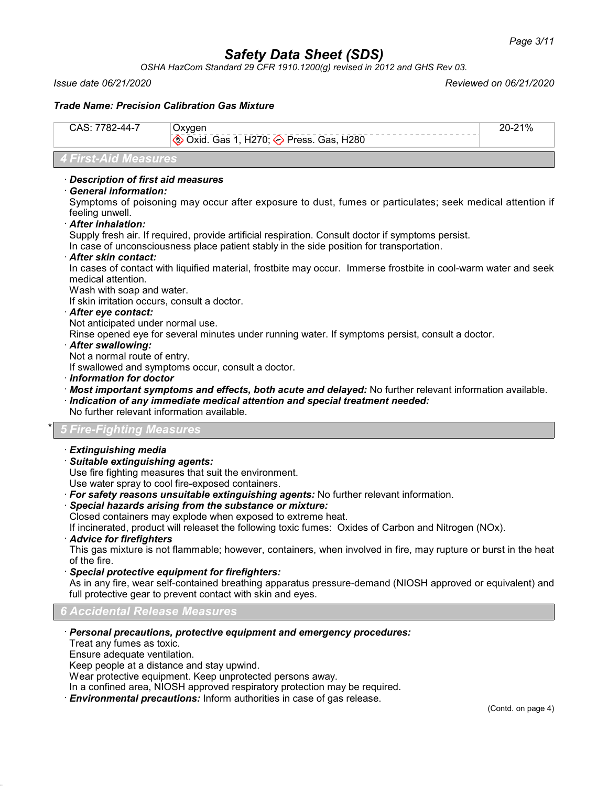*OSHA HazCom Standard 29 CFR 1910.1200(g) revised in 2012 and GHS Rev 03.*

*Issue date 06/21/2020 Reviewed on 06/21/2020*

#### *Trade Name: Precision Calibration Gas Mixture*

| CAS: 7782-44-7       | Oxygen<br><b>♦ Oxid. Gas 1, H270; ♦ Press. Gas, H280</b> | $20 - 21%$ |
|----------------------|----------------------------------------------------------|------------|
| 4 First-Aid Measures |                                                          |            |

#### · *Description of first aid measures*

#### · *General information:*

Symptoms of poisoning may occur after exposure to dust, fumes or particulates; seek medical attention if feeling unwell.

· *After inhalation:*

Supply fresh air. If required, provide artificial respiration. Consult doctor if symptoms persist.

In case of unconsciousness place patient stably in the side position for transportation.

#### · *After skin contact:*

In cases of contact with liquified material, frostbite may occur. Immerse frostbite in cool-warm water and seek medical attention.

Wash with soap and water.

If skin irritation occurs, consult a doctor.

#### · *After eye contact:*

Not anticipated under normal use.

Rinse opened eye for several minutes under running water. If symptoms persist, consult a doctor.

· *After swallowing:*

Not a normal route of entry.

If swallowed and symptoms occur, consult a doctor.

- · *Information for doctor*
- · *Most important symptoms and effects, both acute and delayed:* No further relevant information available.
- · *Indication of any immediate medical attention and special treatment needed:*
- No further relevant information available.

#### \* *5 Fire-Fighting Measures*

#### · *Extinguishing media*

· *Suitable extinguishing agents:*

Use fire fighting measures that suit the environment.

Use water spray to cool fire-exposed containers.

· *For safety reasons unsuitable extinguishing agents:* No further relevant information.

#### · *Special hazards arising from the substance or mixture:*

Closed containers may explode when exposed to extreme heat.

If incinerated, product will releaset the following toxic fumes: Oxides of Carbon and Nitrogen (NOx).

#### · *Advice for firefighters*

This gas mixture is not flammable; however, containers, when involved in fire, may rupture or burst in the heat of the fire.

#### · *Special protective equipment for firefighters:*

As in any fire, wear self-contained breathing apparatus pressure-demand (NIOSH approved or equivalent) and full protective gear to prevent contact with skin and eyes.

#### *6 Accidental Release Measures*

#### · *Personal precautions, protective equipment and emergency procedures:*

Treat any fumes as toxic.

Ensure adequate ventilation.

Keep people at a distance and stay upwind.

Wear protective equipment. Keep unprotected persons away.

In a confined area, NIOSH approved respiratory protection may be required.

· *Environmental precautions:* Inform authorities in case of gas release.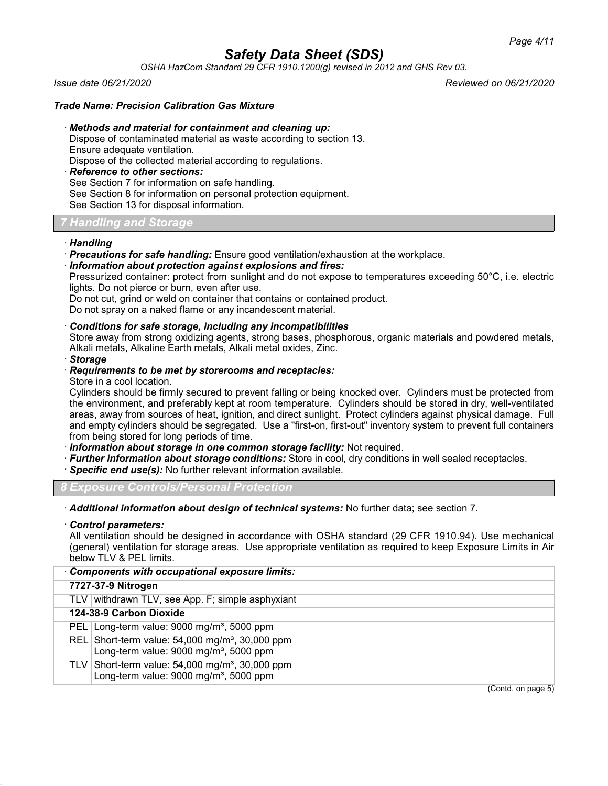*OSHA HazCom Standard 29 CFR 1910.1200(g) revised in 2012 and GHS Rev 03.*

*Issue date 06/21/2020 Reviewed on 06/21/2020*

#### *Trade Name: Precision Calibration Gas Mixture*

· *Methods and material for containment and cleaning up:*

Dispose of contaminated material as waste according to section 13.

Ensure adequate ventilation.

Dispose of the collected material according to regulations.

· *Reference to other sections:*

See Section 7 for information on safe handling.

See Section 8 for information on personal protection equipment.

See Section 13 for disposal information.

#### *7 Handling and Storage*

#### · *Handling*

- · *Precautions for safe handling:* Ensure good ventilation/exhaustion at the workplace.
- · *Information about protection against explosions and fires:*

Pressurized container: protect from sunlight and do not expose to temperatures exceeding 50°C, i.e. electric lights. Do not pierce or burn, even after use.

Do not cut, grind or weld on container that contains or contained product.

Do not spray on a naked flame or any incandescent material.

#### · *Conditions for safe storage, including any incompatibilities*

Store away from strong oxidizing agents, strong bases, phosphorous, organic materials and powdered metals, Alkali metals, Alkaline Earth metals, Alkali metal oxides, Zinc.

· *Storage*

#### · *Requirements to be met by storerooms and receptacles:*

Store in a cool location.

Cylinders should be firmly secured to prevent falling or being knocked over. Cylinders must be protected from the environment, and preferably kept at room temperature. Cylinders should be stored in dry, well-ventilated areas, away from sources of heat, ignition, and direct sunlight. Protect cylinders against physical damage. Full and empty cylinders should be segregated. Use a "first-on, first-out" inventory system to prevent full containers from being stored for long periods of time.

· *Information about storage in one common storage facility:* Not required.

- · *Further information about storage conditions:* Store in cool, dry conditions in well sealed receptacles.
- · *Specific end use(s):* No further relevant information available.

*8 Exposure Controls/Personal Protection*

· *Additional information about design of technical systems:* No further data; see section 7.

#### · *Control parameters:*

All ventilation should be designed in accordance with OSHA standard (29 CFR 1910.94). Use mechanical (general) ventilation for storage areas. Use appropriate ventilation as required to keep Exposure Limits in Air below TLV & PEL limits.

| <b>Components with occupational exposure limits:</b>                                                                |  |  |
|---------------------------------------------------------------------------------------------------------------------|--|--|
| 7727-37-9 Nitrogen                                                                                                  |  |  |
| TLV withdrawn TLV, see App. F; simple asphyxiant                                                                    |  |  |
| 124-38-9 Carbon Dioxide                                                                                             |  |  |
| PEL Long-term value: $9000 \text{ mg/m}^3$ , 5000 ppm                                                               |  |  |
| REL Short-term value: $54,000$ mg/m <sup>3</sup> , 30,000 ppm<br>Long-term value: 9000 mg/m <sup>3</sup> , 5000 ppm |  |  |
| TLV Short-term value: $54,000$ mg/m <sup>3</sup> , 30,000 ppm<br>Long-term value: 9000 mg/m <sup>3</sup> , 5000 ppm |  |  |
| (Contd. on page 5)                                                                                                  |  |  |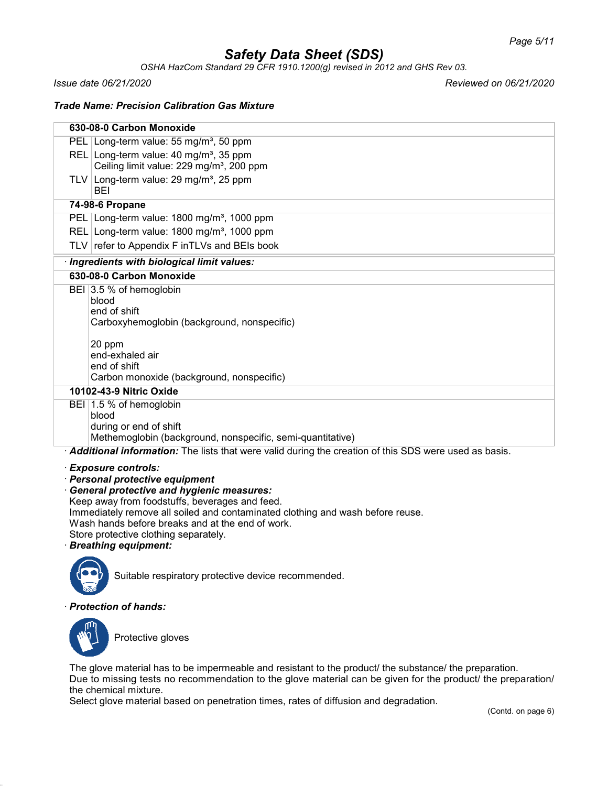*OSHA HazCom Standard 29 CFR 1910.1200(g) revised in 2012 and GHS Rev 03.*

*Issue date 06/21/2020 Reviewed on 06/21/2020*

*Trade Name: Precision Calibration Gas Mixture*

|                                                  | 630-08-0 Carbon Monoxide                                                                              |
|--------------------------------------------------|-------------------------------------------------------------------------------------------------------|
|                                                  | PEL Long-term value: 55 mg/m <sup>3</sup> , 50 ppm                                                    |
|                                                  | REL Long-term value: 40 mg/m <sup>3</sup> , 35 ppm                                                    |
|                                                  | Ceiling limit value: 229 mg/m <sup>3</sup> , 200 ppm                                                  |
|                                                  | TLV Long-term value: $29 \text{ mg/m}^3$ , $25 \text{ ppm}$<br><b>BEI</b>                             |
|                                                  | 74-98-6 Propane                                                                                       |
|                                                  | PEL Long-term value: 1800 mg/m <sup>3</sup> , 1000 ppm                                                |
|                                                  | REL Long-term value: 1800 mg/m <sup>3</sup> , 1000 ppm                                                |
|                                                  | TLV refer to Appendix F inTLVs and BEIs book                                                          |
|                                                  | · Ingredients with biological limit values:                                                           |
|                                                  | 630-08-0 Carbon Monoxide                                                                              |
|                                                  | BEI 3.5 % of hemoglobin                                                                               |
|                                                  | blood                                                                                                 |
|                                                  | end of shift                                                                                          |
|                                                  | Carboxyhemoglobin (background, nonspecific)                                                           |
|                                                  | 20 ppm                                                                                                |
|                                                  | end-exhaled air                                                                                       |
|                                                  | end of shift                                                                                          |
|                                                  | Carbon monoxide (background, nonspecific)                                                             |
|                                                  | 10102-43-9 Nitric Oxide                                                                               |
|                                                  | BEI 1.5 % of hemoglobin                                                                               |
|                                                  | blood                                                                                                 |
|                                                  | during or end of shift                                                                                |
|                                                  | Methemoglobin (background, nonspecific, semi-quantitative)                                            |
|                                                  | Additional information: The lists that were valid during the creation of this SDS were used as basis. |
|                                                  | · Exposure controls:                                                                                  |
| · Personal protective equipment                  |                                                                                                       |
| <b>General protective and hygienic measures:</b> |                                                                                                       |
| Keep away from foodstuffs, beverages and feed.   |                                                                                                       |
|                                                  | Immediately remove all soiled and contaminated clothing and wash before reuse.                        |

Wash hands before breaks and at the end of work.

Store protective clothing separately.

· *Breathing equipment:*



Suitable respiratory protective device recommended.

#### · *Protection of hands:*



Protective gloves

The glove material has to be impermeable and resistant to the product/ the substance/ the preparation. Due to missing tests no recommendation to the glove material can be given for the product/ the preparation/ the chemical mixture.

Select glove material based on penetration times, rates of diffusion and degradation.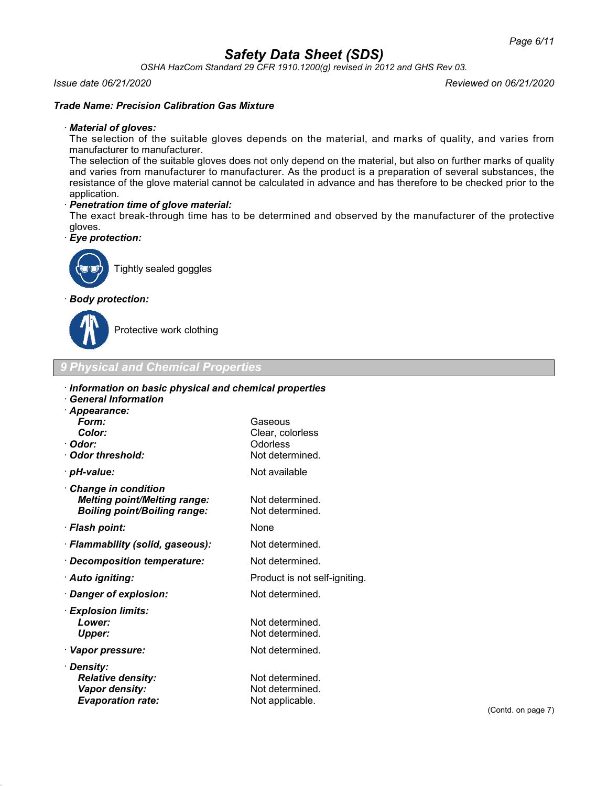*OSHA HazCom Standard 29 CFR 1910.1200(g) revised in 2012 and GHS Rev 03.*

#### *Issue date 06/21/2020 Reviewed on 06/21/2020*

#### *Trade Name: Precision Calibration Gas Mixture*

#### · *Material of gloves:*

The selection of the suitable gloves depends on the material, and marks of quality, and varies from manufacturer to manufacturer.

The selection of the suitable gloves does not only depend on the material, but also on further marks of quality and varies from manufacturer to manufacturer. As the product is a preparation of several substances, the resistance of the glove material cannot be calculated in advance and has therefore to be checked prior to the application.

#### · *Penetration time of glove material:*

The exact break-through time has to be determined and observed by the manufacturer of the protective gloves.

· *Eye protection:*



Tightly sealed goggles

#### · *Body protection:*



Protective work clothing

*9 Physical and Chemical Properties*

#### · *Information on basic physical and chemical properties*

| · General Information                                                                             |                                                            |
|---------------------------------------------------------------------------------------------------|------------------------------------------------------------|
| · Appearance:<br>Form:<br>Color:<br>· Odor:<br>Odor threshold:                                    | Gaseous<br>Clear, colorless<br>Odorless<br>Not determined. |
| · pH-value:                                                                                       | Not available                                              |
| Change in condition<br><b>Melting point/Melting range:</b><br><b>Boiling point/Boiling range:</b> | Not determined.<br>Not determined.                         |
| · Flash point:                                                                                    | None                                                       |
| · Flammability (solid, gaseous):                                                                  | Not determined.                                            |
| · Decomposition temperature:                                                                      | Not determined.                                            |
| · Auto igniting:                                                                                  | Product is not self-igniting.                              |
| · Danger of explosion:                                                                            | Not determined.                                            |
| · Explosion limits:<br>Lower:<br><b>Upper:</b>                                                    | Not determined.<br>Not determined.                         |
| · Vapor pressure:                                                                                 | Not determined.                                            |
| · Density:<br><b>Relative density:</b><br>Vapor density:<br><b>Evaporation rate:</b>              | Not determined.<br>Not determined.<br>Not applicable.      |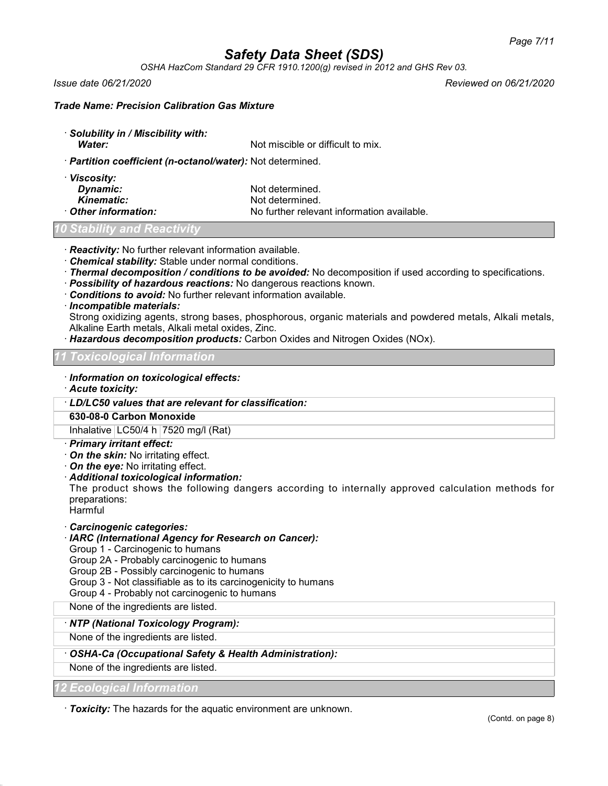*OSHA HazCom Standard 29 CFR 1910.1200(g) revised in 2012 and GHS Rev 03.*

*Issue date 06/21/2020 Reviewed on 06/21/2020*

#### *Trade Name: Precision Calibration Gas Mixture*

· *Solubility in / Miscibility with:* **Water:** Water: Not miscible or difficult to mix.

· *Partition coefficient (n-octanol/water):* Not determined.

| · Viscosity:       |                                            |
|--------------------|--------------------------------------------|
| Dynamic:           | Not determined.                            |
| Kinematic:         | Not determined.                            |
| Other information: | No further relevant information available. |

#### *10 Stability and Reactivity*

· *Reactivity:* No further relevant information available.

- · *Chemical stability:* Stable under normal conditions.
- · *Thermal decomposition / conditions to be avoided:* No decomposition if used according to specifications.
- · *Possibility of hazardous reactions:* No dangerous reactions known.
- · *Conditions to avoid:* No further relevant information available.
- · *Incompatible materials:*

Strong oxidizing agents, strong bases, phosphorous, organic materials and powdered metals, Alkali metals, Alkaline Earth metals, Alkali metal oxides, Zinc.

· *Hazardous decomposition products:* Carbon Oxides and Nitrogen Oxides (NOx).

#### *11 Toxicological Information*

- · *Information on toxicological effects:*
- · *Acute toxicity:*
- · *LD/LC50 values that are relevant for classification:*

#### **630-08-0 Carbon Monoxide**

Inhalative  $LC50/4 h$  7520 mg/l (Rat)

- · *Primary irritant effect:*
- · *On the skin:* No irritating effect.
- · *On the eye:* No irritating effect.
- · *Additional toxicological information:*

The product shows the following dangers according to internally approved calculation methods for preparations:

- Harmful
- · *Carcinogenic categories:*

#### · *IARC (International Agency for Research on Cancer):*

Group 1 - Carcinogenic to humans

Group 2A - Probably carcinogenic to humans

Group 2B - Possibly carcinogenic to humans

- Group 3 Not classifiable as to its carcinogenicity to humans
- Group 4 Probably not carcinogenic to humans

None of the ingredients are listed.

#### · *NTP (National Toxicology Program):*

None of the ingredients are listed.

#### · *OSHA-Ca (Occupational Safety & Health Administration):*

None of the ingredients are listed.

#### *12 Ecological Information*

· *Toxicity:* The hazards for the aquatic environment are unknown.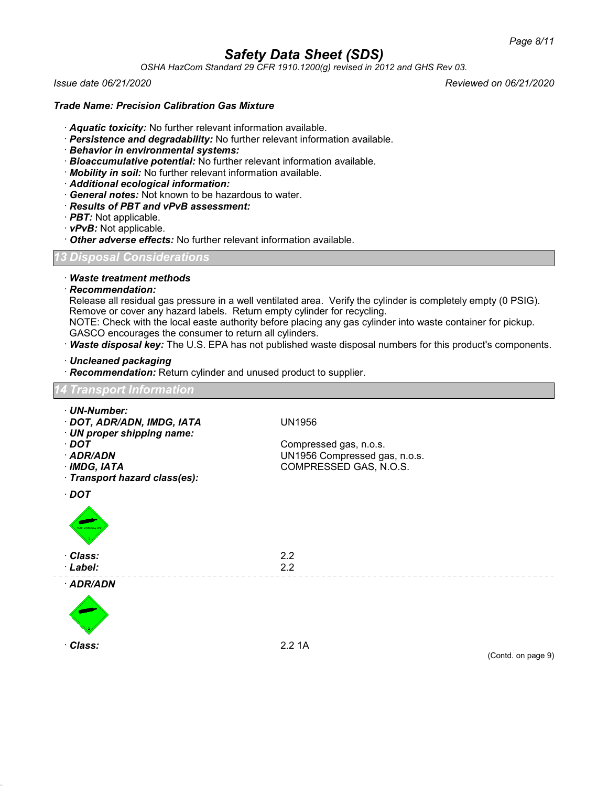*OSHA HazCom Standard 29 CFR 1910.1200(g) revised in 2012 and GHS Rev 03.*

*Issue date 06/21/2020 Reviewed on 06/21/2020*

#### *Trade Name: Precision Calibration Gas Mixture*

- · *Aquatic toxicity:* No further relevant information available.
- · *Persistence and degradability:* No further relevant information available.
- · *Behavior in environmental systems:*
- · *Bioaccumulative potential:* No further relevant information available.
- · *Mobility in soil:* No further relevant information available.
- · *Additional ecological information:*
- · *General notes:* Not known to be hazardous to water.
- · *Results of PBT and vPvB assessment:*
- · *PBT:* Not applicable.
- · *vPvB:* Not applicable.
- · *Other adverse effects:* No further relevant information available.

*13 Disposal Considerations*

#### · *Waste treatment methods*

· *Recommendation:*

Release all residual gas pressure in a well ventilated area. Verify the cylinder is completely empty (0 PSIG). Remove or cover any hazard labels. Return empty cylinder for recycling.

NOTE: Check with the local easte authority before placing any gas cylinder into waste container for pickup. GASCO encourages the consumer to return all cylinders.

· *Waste disposal key:* The U.S. EPA has not published waste disposal numbers for this product's components.

· *Uncleaned packaging*

· *Recommendation:* Return cylinder and unused product to supplier.

# *14 Transport Information* · *UN-Number:* · *DOT, ADR/ADN, IMDG, IATA* UN1956 · *UN proper shipping name:* · *DOT* Compressed gas, n.o.s. · *ADR/ADN* UN1956 Compressed gas, n.o.s. · *IMDG, IATA* COMPRESSED GAS, N.O.S. · *Transport hazard class(es):* · *DOT* · *Class:* 2.2 · *Label:* 2.2 · *ADR/ADN* · *Class:* 2.2 1A (Contd. on page 9)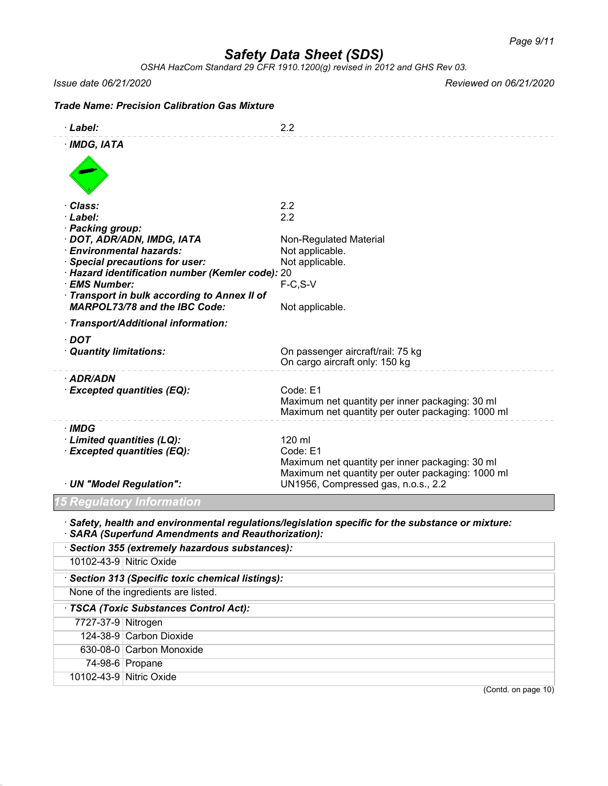*OSHA HazCom Standard 29 CFR 1910.1200(g) revised in 2012 and GHS Rev 03.*

*Issue date 06/21/2020 Reviewed on 06/21/2020*

### *Trade Name: Precision Calibration Gas Mixture* · *Label:* 2.2 · *IMDG, IATA* · *Class:* 2.2 · *Label:* 2.2 · *Packing group:* · **DOT, ADR/ADN, IMDG, IATA** Non-Regulated Material · *Environmental hazards:* Not applicable. **Special precautions for user:** Not applicable. · *Hazard identification number (Kemler code):* 20 · **EMS Number:** · *Transport in bulk according to Annex II of MARPOL73/78 and the IBC Code:* Not applicable. · *Transport/Additional information:* · *DOT* · *Quantity limitations:* On passenger aircraft/rail: 75 kg On cargo aircraft only: 150 kg · *ADR/ADN* · *Excepted quantities (EQ):* Code: E1 Maximum net quantity per inner packaging: 30 ml Maximum net quantity per outer packaging: 1000 ml · *IMDG* · *Limited quantities (LQ):* 120 ml · **Excepted quantities (EQ):** Code: E1 Maximum net quantity per inner packaging: 30 ml Maximum net quantity per outer packaging: 1000 ml · *UN "Model Regulation":* UN1956, Compressed gas, n.o.s., 2.2 *15 Regulatory Information* · *Safety, health and environmental regulations/legislation specific for the substance or mixture:* · *SARA (Superfund Amendments and Reauthorization):* · *Section 355 (extremely hazardous substances):* 10102-43-9 Nitric Oxide · *Section 313 (Specific toxic chemical listings):* None of the ingredients are listed. · *TSCA (Toxic Substances Control Act):* 7727-37-9 Nitrogen

74-98-6 Propane

124-38-9 Carbon Dioxide 630-08-0 Carbon Monoxide

10102-43-9 Nitric Oxide

(Contd. on page 10)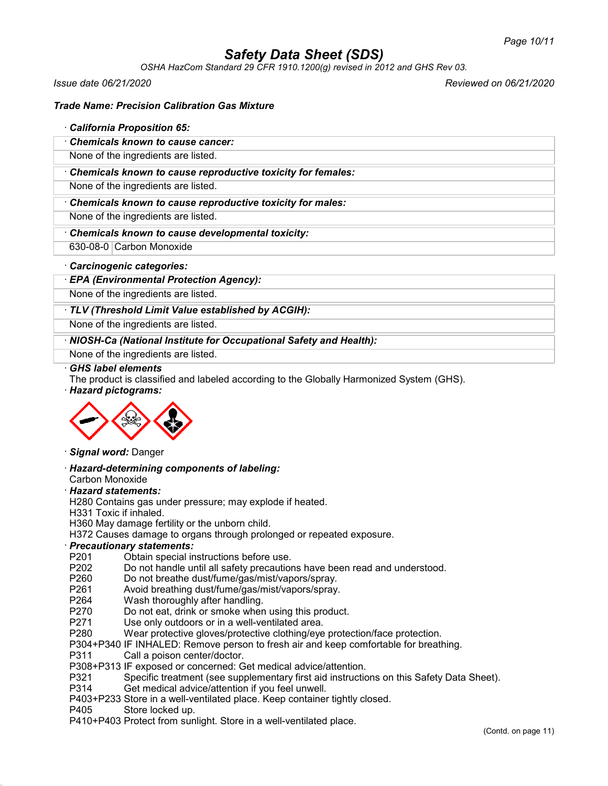*OSHA HazCom Standard 29 CFR 1910.1200(g) revised in 2012 and GHS Rev 03.*

*Issue date 06/21/2020 Reviewed on 06/21/2020*

#### *Trade Name: Precision Calibration Gas Mixture*

#### · *California Proposition 65:*

· *Chemicals known to cause cancer:*

None of the ingredients are listed.

· *Chemicals known to cause reproductive toxicity for females:*

None of the ingredients are listed.

· *Chemicals known to cause reproductive toxicity for males:*

None of the ingredients are listed.

- · *Chemicals known to cause developmental toxicity:*
- 630-08-0 Carbon Monoxide

#### · *Carcinogenic categories:*

· *EPA (Environmental Protection Agency):*

None of the ingredients are listed.

#### · *TLV (Threshold Limit Value established by ACGIH):*

None of the ingredients are listed.

· *NIOSH-Ca (National Institute for Occupational Safety and Health):*

None of the ingredients are listed.

#### · *GHS label elements*

The product is classified and labeled according to the Globally Harmonized System (GHS).

· *Hazard pictograms:*



#### · *Signal word:* Danger

· *Hazard-determining components of labeling:*

Carbon Monoxide

#### · *Hazard statements:*

H280 Contains gas under pressure; may explode if heated.

H331 Toxic if inhaled.

H360 May damage fertility or the unborn child.

H372 Causes damage to organs through prolonged or repeated exposure.

#### · *Precautionary statements:*

- P201 Obtain special instructions before use.<br>P202 Do not handle until all safety precaution
- P202 Do not handle until all safety precautions have been read and understood.<br>P260 Do not breathe dust/fume/gas/mist/vapors/sprav.
- Do not breathe dust/fume/gas/mist/vapors/spray.
- P261 Avoid breathing dust/fume/gas/mist/vapors/spray.
- P264 Wash thoroughly after handling.<br>P270 Do not eat. drink or smoke wher
- P270 Do not eat, drink or smoke when using this product.<br>P271 Use only outdoors or in a well-ventilated area.
- Use only outdoors or in a well-ventilated area.
- P280 Wear protective gloves/protective clothing/eye protection/face protection.
- P304+P340 IF INHALED: Remove person to fresh air and keep comfortable for breathing.
- Call a poison center/doctor.
- P308+P313 IF exposed or concerned: Get medical advice/attention.
- P321 Specific treatment (see supplementary first aid instructions on this Safety Data Sheet).<br>P314 Get medical advice/attention if you feel unwell.
- Get medical advice/attention if you feel unwell.
- P403+P233 Store in a well-ventilated place. Keep container tightly closed.
- P405 Store locked up.
- P410+P403 Protect from sunlight. Store in a well-ventilated place.